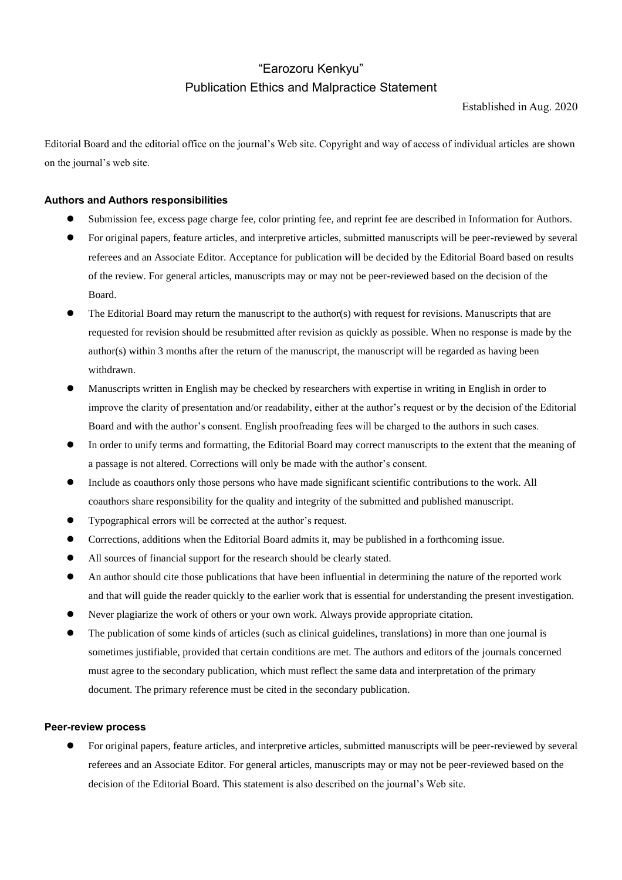# "Earozoru Kenkyu" Publication Ethics and Malpractice Statement

Established in Aug. 2020

Editorial Board and the editorial office on the journal's Web site. Copyright and way of access of individual articles are shown on the journal's web site.

## **Authors and Authors responsibilities**

- ⚫ Submission fee, excess page charge fee, color printing fee, and reprint fee are described in Information for Authors.
- ⚫ For original papers, feature articles, and interpretive articles, submitted manuscripts will be peer-reviewed by several referees and an Associate Editor. Acceptance for publication will be decided by the Editorial Board based on results of the review. For general articles, manuscripts may or may not be peer-reviewed based on the decision of the Board.
- ⚫ The Editorial Board may return the manuscript to the author(s) with request for revisions. Manuscripts that are requested for revision should be resubmitted after revision as quickly as possible. When no response is made by the author(s) within 3 months after the return of the manuscript, the manuscript will be regarded as having been withdrawn.
- ⚫ Manuscripts written in English may be checked by researchers with expertise in writing in English in order to improve the clarity of presentation and/or readability, either at the author's request or by the decision of the Editorial Board and with the author's consent. English proofreading fees will be charged to the authors in such cases.
- ⚫ In order to unify terms and formatting, the Editorial Board may correct manuscripts to the extent that the meaning of a passage is not altered. Corrections will only be made with the author's consent.
- ⚫ Include as coauthors only those persons who have made significant scientific contributions to the work. All coauthors share responsibility for the quality and integrity of the submitted and published manuscript.
- ⚫ Typographical errors will be corrected at the author's request.
- ⚫ Corrections, additions when the Editorial Board admits it, may be published in a forthcoming issue.
- ⚫ All sources of financial support for the research should be clearly stated.
- ⚫ An author should cite those publications that have been influential in determining the nature of the reported work and that will guide the reader quickly to the earlier work that is essential for understanding the present investigation.
- ⚫ Never plagiarize the work of others or your own work. Always provide appropriate citation.
- ⚫ The publication of some kinds of articles (such as clinical guidelines, translations) in more than one journal is sometimes justifiable, provided that certain conditions are met. The authors and editors of the journals concerned must agree to the secondary publication, which must reflect the same data and interpretation of the primary document. The primary reference must be cited in the secondary publication.

## **Peer-review process**

⚫ For original papers, feature articles, and interpretive articles, submitted manuscripts will be peer-reviewed by several referees and an Associate Editor. For general articles, manuscripts may or may not be peer-reviewed based on the decision of the Editorial Board. This statement is also described on the journal's Web site.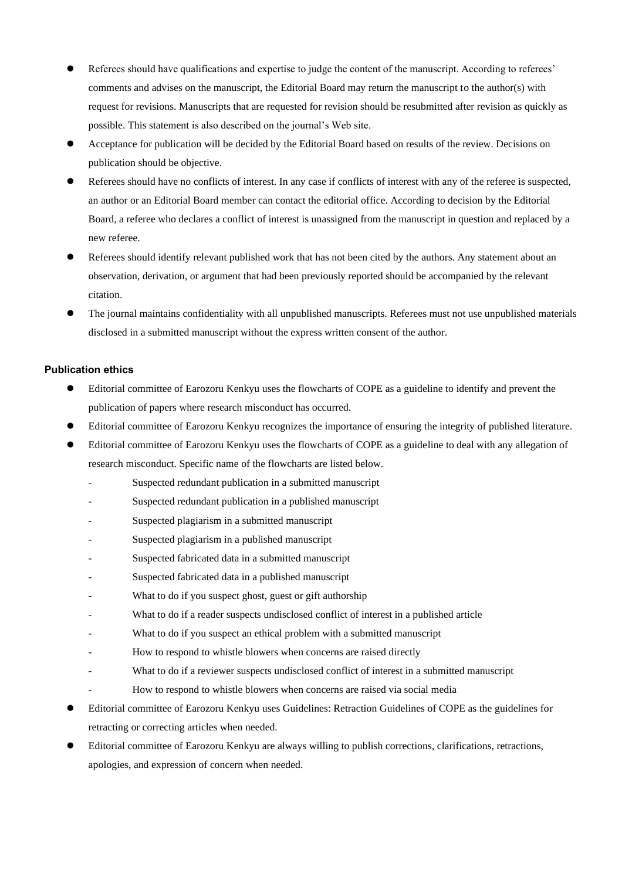- ⚫ Referees should have qualifications and expertise to judge the content of the manuscript. According to referees' comments and advises on the manuscript, the Editorial Board may return the manuscript to the author(s) with request for revisions. Manuscripts that are requested for revision should be resubmitted after revision as quickly as possible. This statement is also described on the journal's Web site.
- ⚫ Acceptance for publication will be decided by the Editorial Board based on results of the review. Decisions on publication should be objective.
- ⚫ Referees should have no conflicts of interest. In any case if conflicts of interest with any of the referee is suspected, an author or an Editorial Board member can contact the editorial office. According to decision by the Editorial Board, a referee who declares a conflict of interest is unassigned from the manuscript in question and replaced by a new referee.
- ⚫ Referees should identify relevant published work that has not been cited by the authors. Any statement about an observation, derivation, or argument that had been previously reported should be accompanied by the relevant citation.
- ⚫ The journal maintains confidentiality with all unpublished manuscripts. Referees must not use unpublished materials disclosed in a submitted manuscript without the express written consent of the author.

## **Publication ethics**

- ⚫ Editorial committee of Earozoru Kenkyu uses the flowcharts of COPE as a guideline to identify and prevent the publication of papers where research misconduct has occurred.
- ⚫ Editorial committee of Earozoru Kenkyu recognizes the importance of ensuring the integrity of published literature.
- ⚫ Editorial committee of Earozoru Kenkyu uses the flowcharts of COPE as a guideline to deal with any allegation of research misconduct. Specific name of the flowcharts are listed below.
	- Suspected redundant publication in a submitted manuscript
	- Suspected redundant publication in a published manuscript
	- Suspected plagiarism in a submitted manuscript
	- Suspected plagiarism in a published manuscript
	- Suspected fabricated data in a submitted manuscript
	- Suspected fabricated data in a published manuscript
	- What to do if you suspect ghost, guest or gift authorship
	- What to do if a reader suspects undisclosed conflict of interest in a published article
	- What to do if you suspect an ethical problem with a submitted manuscript
	- How to respond to whistle blowers when concerns are raised directly
	- What to do if a reviewer suspects undisclosed conflict of interest in a submitted manuscript
	- How to respond to whistle blowers when concerns are raised via social media
- ⚫ Editorial committee of Earozoru Kenkyu uses Guidelines: Retraction Guidelines of COPE as the guidelines for retracting or correcting articles when needed.
- ⚫ Editorial committee of Earozoru Kenkyu are always willing to publish corrections, clarifications, retractions, apologies, and expression of concern when needed.